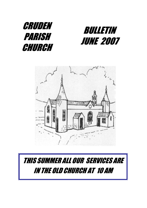





# THIS SUMMER ALL OUR SERVICES ARE IN THE OLD CHURCH AT 10 AM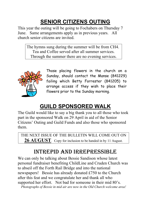# **SENIOR CITIZENS OUTING**

This year the outing will be going to Fochabers on Thursday 7 June. Same arrangements apply as in previous years. All church senior citizens are invited.

The hymns sung during the summer will be from CH4. Tea and Coffee served after all summer services. Through the summer there are no evening services.



Those placing flowers in the church on a Sunday, should contact the Manse (841229) failing which Betty Forrester (841205) to arrange access if they wish to place their flowers prior to the Sunday morning.

# **GUILD SPONSORED WALK**

The Guild would like to say a big thank you to all those who took part in the sponsored Walk on 29 April in aid of the Senior Citizens' Outing and Guild Funds and also those who sponsored them.

THE NEXT ISSUE OF THE BULLETIN WILL COME OUT ON 26 AUGUST. Copy for inclusion to be handed in by 11 August.

# INTREPID AND IRREPRESSIBLE

We can only be talking about Bessie Sandison whose latest personal fundraiser benefiting ChildLine and Cruden Church was to abseil off the Forth Rail Bridge and into the national newspapers! Bessie has already donated £750 to the Church after this feat and we congratulate her and thank all who supported her effort. Not bad for someone in their mid 80's. *Photographs of Bessie in mid air are now in the Old Church welcome area!*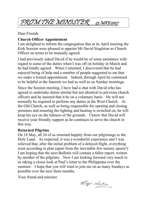# FROM THE MINISTER 23 MAY 2007

Dear Friends

### **Church Officer Appointment**

I am delighted to inform the congregation that at its April meeting the Kirk Session were pleased to appoint Mr David Singleton as Church Officer on terms to be mutually agreed.

I had previously asked David if he would be of some assistance with regard to some of the duties when I was off on holiday in March and he had kindly agreed. When I returned, I discovered that he had enjoyed being of help and a number of people suggested to me that we make a formal appointment. Indeed, through April he continued to be helpful at the funerals we had as well as on Sunday mornings.

Since the Session meeting, I have had a chat with David who has agreed to undertake duties similar but not identical to previous church officers and he insisted that it be on a voluntary basis. He will not normally be required to perform any duties at the West Church. At the Old Church, as well as being responsible for opening and closing premises and ensuring the lighting and heating is switched on, he will keep his eye on the tidiness of the grounds. I know that David will receive your friendly support as he continues to serve the church in this way.

### **Returned Pilgrims**

On 18 May, all 24 of us returned happily from our pilgrimage to the Holy Land. As expected, it was a wonderful experience and I was relieved that, after the initial problem of a delayed flight, everything went according to plan (apart from the inevitable few tummy upsets!) I am hoping that the next Bulletin will contain a fuller report, written by another of the pilgrims. Now I am looking forward very much to us taking a closer look at Paul's letter to the Philippians over the summer. I hope that you will want to join me on as many Sundays as possible over the next three months.

Your friend and minister

Rodge Neilson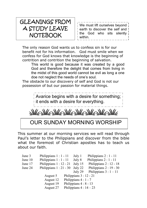# GLEANINGS FROM A STUDY LEAVE **NOTEBOOK**

We must lift ourselves beyond earth to discover the self and the God who sits silently within.

The only reason God wants us to confess sin is for our benefit not for his information. God must smile when we confess for God knows that knowledge is the beginning of contrition and contrition the beginning of salvation.

This world is good because it was created by a good God and therefore the delight that comes from living in the midst of this good world cannot be evil as long a one doe not neglect the needs of one's soul.

The obstacle to our discovery of self and God is not our possession of but our passion for material things.

> Avarice begins with a desire for something; it ends with a desire for everything.

 $\le \lambda \frac{1}{\ell} \frac{1}{\ell} \frac{1}{\ell} \frac{1}{\ell} \frac{1}{\ell} \frac{1}{\ell} \frac{1}{\ell} \frac{1}{\ell} \frac{1}{\ell} \frac{1}{\ell} \frac{1}{\ell} \frac{1}{\ell} \frac{1}{\ell} \frac{1}{\ell} \frac{1}{\ell} \frac{1}{\ell} \frac{1}{\ell} \frac{1}{\ell} \frac{1}{\ell} \frac{1}{\ell} \frac{1}{\ell} \frac{1}{\ell} \frac{1}{\ell} \frac{1}{\ell} \frac{1}{\ell} \frac{1}{\ell} \frac{1}{\ell}$ 

## OUR SUNDAY MORNING WORSHIP

This summer at our morning services we will read through Paul's letter to the Philippians and discover from the bible what the foremost of Christian apostles has to teach us about our faith.

| June 3  | Philippians $1:1 - 11$  | July 1                  | Philippians $2:1 - 11$  |
|---------|-------------------------|-------------------------|-------------------------|
| June 10 | Philippians $1:1 - 11$  | July 8                  | Philippians $2:1 - 11$  |
| June 17 | Philippians $1:12-21$   | July 15                 | Philippians $2:12 - 18$ |
| June 24 | Philippians $1:21 - 30$ | July 22                 | Philippians $2:19-30$   |
|         |                         | July 29                 | Philippians $3:1-11$    |
|         | August 5                | Philippians $3:12 - 21$ |                         |
|         | August 12               | Philippians $4:1 - 7$   |                         |
|         | August 19               | Philippians $4:8 - 13$  |                         |
|         | August 27               | Philippians $4:14-23$   |                         |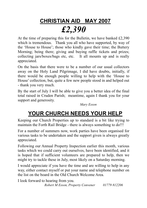# **CHRISTIAN AID MAY 2007** *£2,390*

At the time of preparing this for the Bulletin, we have banked £2,390 which is tremendous. Thank you all who have supported, by way of the 'House to House'; those who kindly gave their time; the Buttery Morning; being there; giving and buying raffle tickets and prizes; collecting jars/boxes/bags etc, etc. It all mounts up and is really appreciated.

On the basis that there were to be a number of our usual collectors away on the Holy Land Pilgrimage, I did have doubts, initially, if there would be enough people willing to help with the 'House to House' collection, but, quite a few new people stood in and helped out - thank you very much.

By the start of July I will be able to give you a better idea of the final total raised in Cruden Parish; meantime, again I thank you for your support and generosity.

*Mary Esson* 

# **YOUR CHURCH NEEDS YOUR HELP**

Keeping our Church Properties up to standard is a bit like trying to maintain the Forth Rail Bridge - there is always something to do!!!

For a number of summers now, work parties have been organised for various tasks to be undertaken and the support given is always greatly appreciated.

Following our Annual Property Inspection earlier this month, various tasks which we could carry out ourselves, have been identified, and it is hoped that if sufficient volunteers are prepared to help, then we might try to tackle these in July, most likely on a Saturday morning.

I would appreciate if you have the time and are willing to help in any way, either contact myself or put your name and telephone number on the list on the board in the Old Church Welcome Area.

I look forward to hearing from you. *Robert M Esson, Property Convener 01779 812206*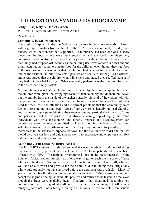## **LIVINGSTONIA SYNOD AIDS PROGRAMME**

Andy, Fliss, Katy & Daniel Gaston PO Box 718 Mzuzu Malawi Central Africa March 2007

#### Dear Friends,

#### **Community based orphan care**

The plight of orphan children in Malawi really came home to me recently. I went with a group of visitors from a church in the USA to see a community run day care nursery which their church had supported. The nursery had been one of our show pieces as the local chiefs were very supportive and the local committee very enthusiastic and creative in the way that they cared for the children. It was evident that things had dropped off recently as the building itself was rather run down and the usual team had not come to prepare food for the children, even though they had food in the store room. It was obvious that the children had been waiting a while for us and one of the visitors had put a few small packets of biscuits in her bag. She offered, and it was agreed that the children would like them and indeed they scoffed them as if they had not been fed for days. What was really pathetic was the attention they paid to the discarded empty packets.

My first thought was that the children were attracted by the shiny wrapping but when the children were given the wrappings each of them solemnly and deliberately licked out the crumbs from the inside of the packet hungrily. Several of the visitors left with damp eyes and I was moved as well by the obvious mismatch between the children's need far food, care and attention and the current problems that the community were facing in responding to that need. Most of our work relies heavily on local churches and community groups mobilizing their own resources, particularly in terms of time and personnel, but as everywhere it is always a core group of highly motivated individuals who drive these things and illness, tiredness and discouragement can demotivate even the most committed. Please pray for the bands of dedicated volunteers around the Northern region, that they may continue to joyfully give of themselves in the service of orphans, widows and the sick in their midst and that we would be given wisdom and guidance as we try to encourage and empower such folk with training and technical support.

#### **New hopes / Anti retroviral drugs (ARYs)**

The HIV/AIDS situation has shifted somewhat since the advent in Malawi of drugs that can effectively prevent the development of AIDS in patients who have been infected with HIV. The national programme is one of the most successful in the Southern African region but still has a long way to go to reach the majority of those who need the drugs. We know many people, including several of our staff, who are well and able to work and provide for their families due to taking these drugs daily who would probably not have survived before the treatment was available. Many of you will remember the story of one of our staff who died in 2004 because he could not accept the stigma of being labelled HIV positive and refused to be tested in time, even though the drugs were available then. Thankfully that situation is becoming less common as there is a gradual shift away from the negative image of AIDS as a terrifying terminal illness brought on by an individual's irresponsible promiscuous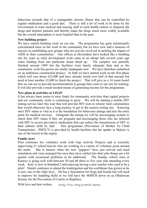behaviour towards that of a manageable chronic illness that can be controlled by regular medication and a good diet. There is still a lot of work to be done by the Government to train medical and nursing staff in rural health centres to dispense the drugs and monitor patients and thereby make the drugs much more widely available but the overall atmosphere is more hopeful than in the past.

#### **New building project**

We have started building work on our site. The programme has quite intentionally concentrated most on the work in the community but we have now had a measure of success in establishing new groups who are actively involved in tackling the impact of AIDS in their communities. Our offices at Ekwendeni have looked like a building site for years as early development work came to an abrupt halt several years ago when funding from one particular donor dried up. The complex was partially finished around 1999 but the facilities were barely adequate then and as the community work has grown are totally inadequate now. We have therefore embarked on an ambitious construction project. In faith we have started work on the first phase which will cost about £25,000 and have already found over half of that amount but need at least another £5,000 to finish the project. That will give us a 16 room hostel that we can use to provide accommodation to groups that come to our site for training. It will also provide a much needed means of generating income for the programme.

#### **New plans & activities at LISAP**

It has always been easier to raise funds for community activities than capital projects and our community work is continuing to grow. We will be starting a mobile HIV testing service later this year that will provide HIV tests to remote rural communities that would otherwise face a long journey to get to the nearest testing site. Knowing one's HIV status is vital as it is the foundation for behaviour change and also the entry point for medical services. Alongside the testing we will be encouraging women to check their HIV status if they are pregnant and encouraging those who are infected with HIV to access preventive medication that can reduce the transmission of HIV to their unborn child by half. This programme (Prevention of Mother To Child Transmission - PMTCT) is provided by health facilities but the uptake in Malawi is one of the lowest in the region.

#### **Family news**

Fliss continues her voluntary work with Gap Activity Projects and is currently supervising 21 school-leavers who are working in a variety of voluntary posts around the north. She is busiest when the new "gappers" have just arrived and need orientation and visas arranged but once they have settled into their jobs things are a bit quieter with occasional problems to be addressed. The Sunday school class at Katawa is going well with between 50 and 60 three to five year olds attending every week. Katy is now in Standard 2 and enjoying having a new teacher who used to be a pilot! Daniel continues to attend the kindergarten and his confidence has grown as he is now one of the older boys. He has a fascination for frogs and lizards but will need to improve his handling skills or we will have the MSPCR down on us (Malawian Society for the Prevention of Cruelty to Reptiles).

With love and best wishes, Andy, Fliss, Katy g Daniel Gaston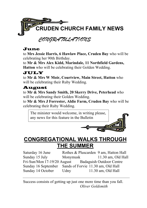

### June

to **Mrs Jessie Harris, 6 Hawlaw Place, Cruden Bay** who will be celebrating her 90th Birthday.

to **Mr & Mrs Alex Kidd, Marindale, 11 Northfield Gardens, Hatton** who will be celebrating their Golden Wedding.

### JULY

to **Mr & Mrs W Moir, Courtview, Main Street, Hatton** who will be celebrating their Ruby Wedding.

### August

to **Mr & Mrs Sandy Smith, 20 Skerry Drive, Peterhead** who will be celebrating their Golden Wedding.

to **Mr & Mrs J Forrester, Aldie Farm, Cruden Bay** who will be celebrating their Ruby Wedding.

The minister would welcome, in writing please, any news for this feature in the Bulletin

## **CONGREGATIONAL WALKS THROUGH THE SUMMER**

Saturday 16 June Rothes & Pluscarden 9 am, Hatton Hall Sunday 15 July Monymusk 11.30 am, Old Hall Fri-Sun/Mon 17-19/20 August Badaguish Outdoor Centre Sunday 16 September Sands of Forvie 11.30 am, Old Hall Sunday 14 October Udny 11.30 am, Old Hall

Success consists of getting up just one more time than you fall. *Oliver Goldsmith*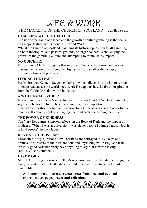# LIFE & WORK

### THE MAGAZINE OF THE CHURCH OF SCOTLAND - JUNE ISSUE

### **GAMBLING WITH THE FUTURE**

The rise of the game of chance and the growth of online gambling is the focus of a major feature in this month's Life and Work.

Whilst the Church of Scotland maintains its historic opposition to all gambling on both theological and pastoral grounds, of larger concern is challenging the growth of the gambling culture and attempting to minimise its impact.

### **NO QUICK FIX**

Editor Lynne McNeil suggests that improved financial education and money management should be offered by High Street banks rather than simply promoting financial products.

#### **FINDING THE LIGHT**

Perthshire poet Kenneth Steven explains how he believes it is the job of writers to make readers see the world anew work He explains how he draws inspiration from the Celtic Christian world in his work.

#### **A 'STILL SMALL VOICE'**

In a rare interview, Jean Vanier, founder of the worldwide L'Arche community, says he believes the future lies in community, not competition.

"The whole question for humanity is how to help the strong and the weak to live together. It's about people coming together and each one finding their place."

#### **THE POWER OF KINDNESS**

The Very Rev James Simpson reflects on the Book of Ruth and the impact of kindness. "When I was at university it was clever people I admired most. Now it is kind people", he concludes.

#### **DRAMATIC CHRISTIANS**

Elizabeth McKay questions how Christians are portrayed in TV soaps and dramas. "Ministers of the Kirk are dour and unyielding while English vicars are jolly good sorts but rarely have anything to say that is worth taking seriously." she comments.

### **LAST WORD**

Muriel Armstrong questions the Kirk's obsession with membership and suggests a regular audit of church attendance would give a more realistic picture of church life.

**And much more – letters, reviews, news from local and national church, elders page, prayer and reflection.** 

 $\leq \frac{1}{2}$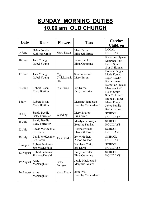# **SUNDAY MORNING DUTIES 10.00 am OLD CHURCH**

| <b>Date</b> | <b>Door</b>                              | <b>Flowers</b>            | <b>Teas</b>                                   | Creche/<br><b>Children</b>                                       |
|-------------|------------------------------------------|---------------------------|-----------------------------------------------|------------------------------------------------------------------|
| 3 June      | Helen Fowlie<br>Kathleen Craig           | Mary Esson                | Mary Esson<br><b>Elizabeth Bruce</b>          | <b>LOCAL</b><br><b>HOLIDAY</b>                                   |
| 10 June     | Jack Young<br>Isobel Young               |                           | Fiona Stephen<br>Elma Cumming                 | Katherine Hyman<br>Maureen Reid<br>Helen Smith<br>S or C Skinner |
| 17 June     | Jack Young<br>Isobel Young               | Mgt<br>Cruickshank<br>HL  | <b>Sharon Rennie</b><br>Mary Esson            | Brenda Cadger<br>Marie Forsyth<br>Joyce Fowlie<br>Karla Buswell  |
| 24 June     | Robert Esson<br>Mary Bratton             | Iris Durno                | Iris Durno<br><b>Betty Forrester</b>          | Katherine Hyman<br>Maureen Reid<br>Helen Smith<br>S or C Skinner |
| 1 July      | <b>Robert Esson</b><br>Mary Bratton      |                           | Margaret Jamieson<br>Dorothy Cruickshank      | Brenda Cadger<br>Marie Forsyth<br>Joyce Fowlie<br>Karla Buswell  |
| 8 July      | Sandy Beedie<br><b>Betty Forrester</b>   | Wedding                   | Mary Bratton<br>Liz Carnie                    | <b>SCHOOL</b><br><b>HOLIDAYS</b>                                 |
| 15 July     | Sandy Beedie<br><b>Betty Forrester</b>   |                           | Marilyn Samways<br><b>Beatrice Fawkes</b>     | <b>SCHOOL</b><br><b>HOLIDAYS</b>                                 |
| 22 July     | Lewis McKechnie<br>Liz Carnie            |                           | Norma Forman<br><b>Elizabeth Bruce</b>        | <b>SCHOOL</b><br><b>HOLIDAYS</b>                                 |
| 29 July     | Lewis McKechnie<br>Liz Carnie            | Jean Beedie               | <b>Betty Mathers</b><br><b>Alison Neilson</b> | <b>SCHOOL</b><br><b>HOLIDAYS</b>                                 |
| 5 August    | <b>Robert Petticrew</b><br>Jim MacDonald |                           | Kathleen Craig<br>Iris Durno                  | <b>SCHOOL</b><br><b>HOLIDAYS</b>                                 |
| 12 August   | <b>Robert Petticrew</b><br>Jim MacDonald |                           | <b>Betty Forrester</b><br>Elma Cumming        | <b>SCHOOL</b><br><b>HOLIDAYS</b>                                 |
| 19 August   | Anne<br>McNaughton                       | <b>Betty</b><br>Forrester | Jessie MacDonald<br><b>Margaret Adams</b>     |                                                                  |
| 26 August   | Anne<br>McNaughton                       | Mary Esson                | Irene Will<br>Dorothy Cruickshank             |                                                                  |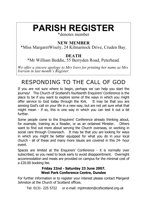# **PARISH REGISTER**

\*denotes member

## **NEW MEMBER**

\*Miss MargaretWisely, 24 Kilmarnock Drive, Cruden Bay.

### **DEATH**

\*Mr William Beddie, 55 Berryden Road, Peterhead.

*We offer a sincere apology to Mrs Ivers for printing her name as Mrs Iverson in last month's Register.* 

# RESPONDING TO THE CALL OF GOD

If you are not sure where to begin, perhaps we can help you start the journey! The Church of Scotland's fourteenth Enquirers' Conference is the place to be if you want to explore some of the ways in which you might offer service to God today through the Kirk. It may be that you are sensing God's call on your life in a new way, but are not yet sure what that might mean - if so, this is one way in which you can test it out a bit further.

Some people come to the Enquirers' Conference already thinking about, for example, training as a Reader, or as an ordained Minister. Others want to find out more about serving the Church overseas, or working in social care through Crossreach. It may be that you are looking for ways in which you might be better equipped for what you do in your local church - all of these and many more issues are covered in this 24- hour event.

Spaces are limited at the Enquirers' Conference - it is normally over subscribed, so you need to book early to avoid disappointment. Overnight accommodation and meals are provided on campus for the minimal cost of a £20.00 booking fee.

### **Friday 22nd - Saturday 23 June 2007. West Park Conference Centre, Dundee**

For further information or to register your interest please contact Margaret Johnston at the Church of Scotland offices.

Tel: 0131- 225 5722 or e-mail: mjohnston@cofscotland.org.uk